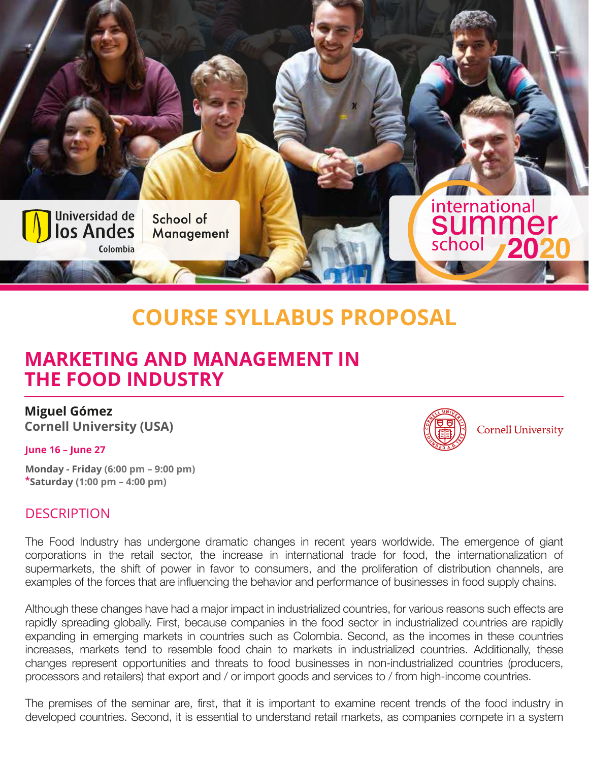

# **COURSE SYLLABUS PROPOSAL**

## **MARKETING AND MANAGEMENT IN THE FOOD INDUSTRY**

**Miguel Gómez Cornell University (USA)**

#### **June 16 – June 27**

**Monday - Friday (6:00 pm – 9:00 pm) \*Saturday (1:00 pm – 4:00 pm)**

#### **DESCRIPTION**

The Food Industry has undergone dramatic changes in recent years worldwide. The emergence of giant corporations in the retail sector, the increase in international trade for food, the internationalization of supermarkets, the shift of power in favor to consumers, and the proliferation of distribution channels, are examples of the forces that are influencing the behavior and performance of businesses in food supply chains.

Although these changes have had a major impact in industrialized countries, for various reasons such effects are rapidly spreading globally. First, because companies in the food sector in industrialized countries are rapidly expanding in emerging markets in countries such as Colombia. Second, as the incomes in these countries increases, markets tend to resemble food chain to markets in industrialized countries. Additionally, these changes represent opportunities and threats to food businesses in non-industrialized countries (producers, processors and retailers) that export and / or import goods and services to / from high-income countries.

The premises of the seminar are, first, that it is important to examine recent trends of the food industry in developed countries. Second, it is essential to understand retail markets, as companies compete in a system



**Cornell University**